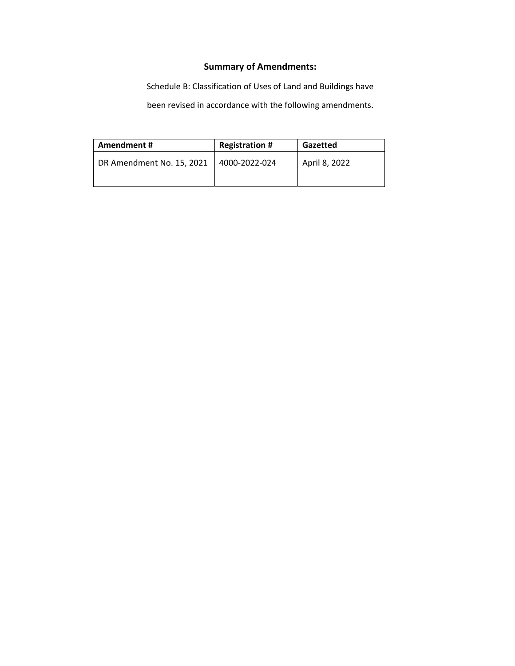## **Summary of Amendments:**

Schedule B: Classification of Uses of Land and Buildings have

been revised in accordance with the following amendments.

| Amendment#                | <b>Registration #</b> | Gazetted      |
|---------------------------|-----------------------|---------------|
| DR Amendment No. 15, 2021 | 4000-2022-024         | April 8, 2022 |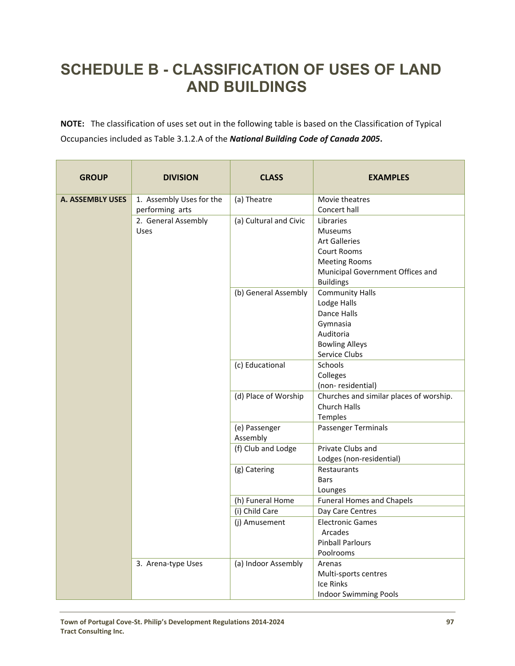## **SCHEDULE B - CLASSIFICATION OF USES OF LAND AND BUILDINGS**

**NOTE:** The classification of uses set out in the following table is based on the Classification of Typical Occupancies included as Table 3.1.2.A of the *National Building Code of Canada 2005***.**

| <b>GROUP</b>            | <b>DIVISION</b>                             | <b>CLASS</b>              | <b>EXAMPLES</b>                                                                                                                                           |
|-------------------------|---------------------------------------------|---------------------------|-----------------------------------------------------------------------------------------------------------------------------------------------------------|
| <b>A. ASSEMBLY USES</b> | 1. Assembly Uses for the<br>performing arts | (a) Theatre               | Movie theatres<br>Concert hall                                                                                                                            |
|                         | 2. General Assembly<br><b>Uses</b>          | (a) Cultural and Civic    | Libraries<br><b>Museums</b><br><b>Art Galleries</b><br><b>Court Rooms</b><br><b>Meeting Rooms</b><br>Municipal Government Offices and<br><b>Buildings</b> |
|                         |                                             | (b) General Assembly      | <b>Community Halls</b><br>Lodge Halls<br>Dance Halls<br>Gymnasia<br>Auditoria<br><b>Bowling Alleys</b><br>Service Clubs                                   |
|                         |                                             | (c) Educational           | Schools<br>Colleges<br>(non-residential)                                                                                                                  |
|                         |                                             | (d) Place of Worship      | Churches and similar places of worship.<br>Church Halls<br>Temples                                                                                        |
|                         |                                             | (e) Passenger<br>Assembly | Passenger Terminals                                                                                                                                       |
|                         |                                             | (f) Club and Lodge        | Private Clubs and<br>Lodges (non-residential)                                                                                                             |
|                         |                                             | (g) Catering              | Restaurants<br><b>Bars</b><br>Lounges                                                                                                                     |
|                         |                                             | (h) Funeral Home          | <b>Funeral Homes and Chapels</b>                                                                                                                          |
|                         |                                             | (i) Child Care            | Day Care Centres                                                                                                                                          |
|                         |                                             | (j) Amusement             | <b>Electronic Games</b><br>Arcades<br><b>Pinball Parlours</b><br>Poolrooms                                                                                |
|                         | 3. Arena-type Uses                          | (a) Indoor Assembly       | Arenas<br>Multi-sports centres<br>Ice Rinks<br><b>Indoor Swimming Pools</b>                                                                               |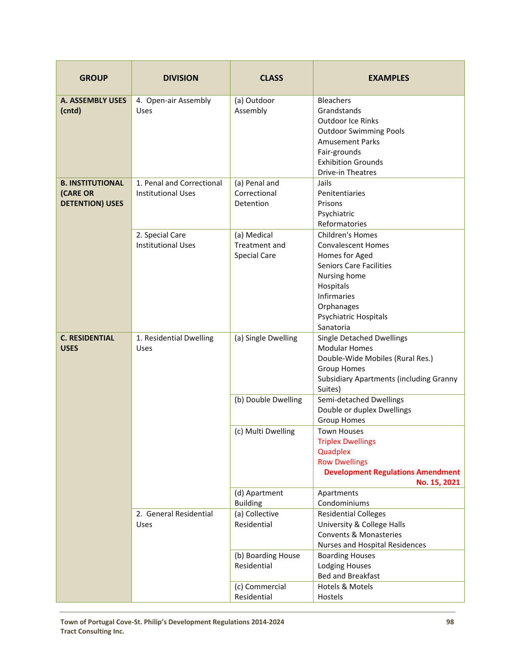| <b>GROUP</b>                                                  | <b>DIVISION</b>                                        | <b>CLASS</b>                                        | <b>EXAMPLES</b>                                                                                                                                                                                          |
|---------------------------------------------------------------|--------------------------------------------------------|-----------------------------------------------------|----------------------------------------------------------------------------------------------------------------------------------------------------------------------------------------------------------|
| <b>A. ASSEMBLY USES</b><br>(cntd)                             | 4. Open-air Assembly<br><b>Uses</b>                    | (a) Outdoor<br>Assembly                             | <b>Bleachers</b><br>Grandstands<br><b>Outdoor Ice Rinks</b><br><b>Outdoor Swimming Pools</b><br><b>Amusement Parks</b><br>Fair-grounds<br><b>Exhibition Grounds</b><br>Drive-in Theatres                 |
| <b>B. INSTITUTIONAL</b><br>(CARE OR<br><b>DETENTION) USES</b> | 1. Penal and Correctional<br><b>Institutional Uses</b> | (a) Penal and<br>Correctional<br>Detention          | Jails<br>Penitentiaries<br>Prisons<br>Psychiatric<br>Reformatories                                                                                                                                       |
|                                                               | 2. Special Care<br><b>Institutional Uses</b>           | (a) Medical<br>Treatment and<br><b>Special Care</b> | Children's Homes<br><b>Convalescent Homes</b><br>Homes for Aged<br><b>Seniors Care Facilities</b><br>Nursing home<br>Hospitals<br><b>Infirmaries</b><br>Orphanages<br>Psychiatric Hospitals<br>Sanatoria |
| <b>C. RESIDENTIAL</b><br><b>USES</b>                          | 1. Residential Dwelling<br>Uses                        | (a) Single Dwelling                                 | Single Detached Dwellings<br><b>Modular Homes</b><br>Double-Wide Mobiles (Rural Res.)<br><b>Group Homes</b><br><b>Subsidiary Apartments (including Granny</b><br>Suites)                                 |
|                                                               |                                                        | (b) Double Dwelling                                 | Semi-detached Dwellings<br>Double or duplex Dwellings<br><b>Group Homes</b>                                                                                                                              |
|                                                               |                                                        | (c) Multi Dwelling                                  | <b>Town Houses</b><br><b>Triplex Dwellings</b><br>Quadplex<br><b>Row Dwellings</b><br><b>Development Regulations Amendment</b><br>No. 15, 2021                                                           |
|                                                               |                                                        | (d) Apartment<br><b>Building</b>                    | Apartments<br>Condominiums                                                                                                                                                                               |
|                                                               | 2. General Residential<br><b>Uses</b>                  | (a) Collective<br>Residential                       | <b>Residential Colleges</b><br>University & College Halls<br><b>Convents &amp; Monasteries</b><br>Nurses and Hospital Residences                                                                         |
|                                                               |                                                        | (b) Boarding House<br>Residential                   | <b>Boarding Houses</b><br><b>Lodging Houses</b><br>Bed and Breakfast                                                                                                                                     |
|                                                               |                                                        | (c) Commercial<br>Residential                       | Hotels & Motels<br>Hostels                                                                                                                                                                               |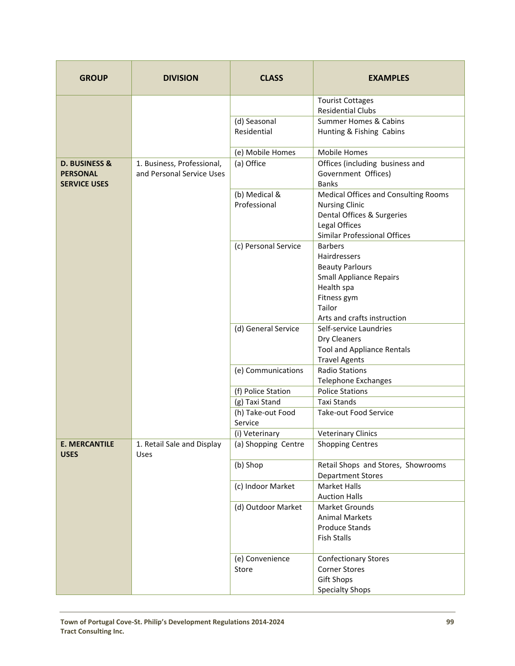| <b>GROUP</b>                                                       | <b>DIVISION</b>                                         | <b>CLASS</b>                  | <b>EXAMPLES</b>                                                                                                                                                  |
|--------------------------------------------------------------------|---------------------------------------------------------|-------------------------------|------------------------------------------------------------------------------------------------------------------------------------------------------------------|
|                                                                    |                                                         |                               | <b>Tourist Cottages</b><br><b>Residential Clubs</b>                                                                                                              |
|                                                                    |                                                         | (d) Seasonal<br>Residential   | <b>Summer Homes &amp; Cabins</b><br>Hunting & Fishing Cabins                                                                                                     |
|                                                                    |                                                         | (e) Mobile Homes              | Mobile Homes                                                                                                                                                     |
| <b>D. BUSINESS &amp;</b><br><b>PERSONAL</b><br><b>SERVICE USES</b> | 1. Business, Professional,<br>and Personal Service Uses | (a) Office                    | Offices (including business and<br>Government Offices)<br><b>Banks</b>                                                                                           |
|                                                                    |                                                         | (b) Medical &<br>Professional | Medical Offices and Consulting Rooms<br><b>Nursing Clinic</b><br>Dental Offices & Surgeries<br>Legal Offices<br><b>Similar Professional Offices</b>              |
|                                                                    |                                                         | (c) Personal Service          | <b>Barbers</b><br>Hairdressers<br><b>Beauty Parlours</b><br><b>Small Appliance Repairs</b><br>Health spa<br>Fitness gym<br>Tailor<br>Arts and crafts instruction |
|                                                                    |                                                         | (d) General Service           | Self-service Laundries<br>Dry Cleaners<br><b>Tool and Appliance Rentals</b><br><b>Travel Agents</b>                                                              |
|                                                                    |                                                         | (e) Communications            | <b>Radio Stations</b><br>Telephone Exchanges                                                                                                                     |
|                                                                    |                                                         | (f) Police Station            | <b>Police Stations</b>                                                                                                                                           |
|                                                                    |                                                         | (g) Taxi Stand                | <b>Taxi Stands</b>                                                                                                                                               |
|                                                                    |                                                         | (h) Take-out Food             | <b>Take-out Food Service</b>                                                                                                                                     |
|                                                                    |                                                         | Service                       |                                                                                                                                                                  |
|                                                                    |                                                         | (i) Veterinary                | <b>Veterinary Clinics</b>                                                                                                                                        |
| <b>E. MERCANTILE</b><br><b>USES</b>                                | 1. Retail Sale and Display<br><b>Uses</b>               | (a) Shopping Centre           | <b>Shopping Centres</b>                                                                                                                                          |
|                                                                    |                                                         | (b) Shop                      | Retail Shops and Stores, Showrooms<br><b>Department Stores</b>                                                                                                   |
|                                                                    |                                                         | (c) Indoor Market             | Market Halls<br><b>Auction Halls</b>                                                                                                                             |
|                                                                    |                                                         | (d) Outdoor Market            | Market Grounds<br><b>Animal Markets</b><br><b>Produce Stands</b><br><b>Fish Stalls</b>                                                                           |
|                                                                    |                                                         | (e) Convenience<br>Store      | <b>Confectionary Stores</b><br><b>Corner Stores</b><br><b>Gift Shops</b><br><b>Specialty Shops</b>                                                               |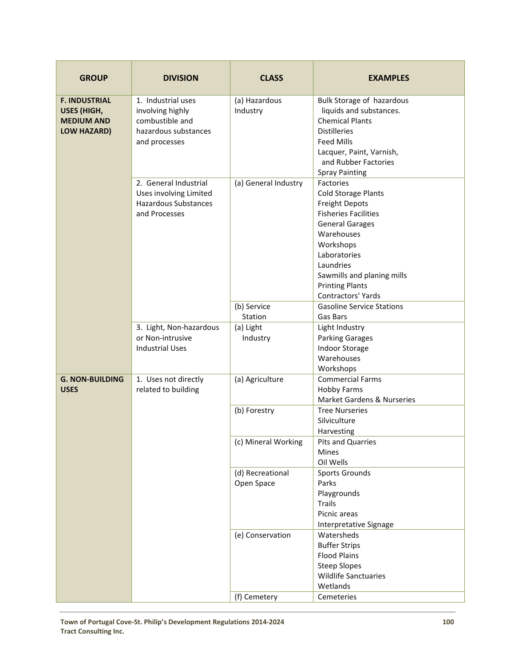| <b>GROUP</b>                                                                   | <b>DIVISION</b>                                                                                    | <b>CLASS</b>                   | <b>EXAMPLES</b>                                                                                                                                                                                                                                                 |
|--------------------------------------------------------------------------------|----------------------------------------------------------------------------------------------------|--------------------------------|-----------------------------------------------------------------------------------------------------------------------------------------------------------------------------------------------------------------------------------------------------------------|
| <b>F. INDUSTRIAL</b><br><b>USES (HIGH,</b><br><b>MEDIUM AND</b><br>LOW HAZARD) | 1. Industrial uses<br>involving highly<br>combustible and<br>hazardous substances<br>and processes | (a) Hazardous<br>Industry      | Bulk Storage of hazardous<br>liquids and substances.<br><b>Chemical Plants</b><br><b>Distilleries</b><br><b>Feed Mills</b><br>Lacquer, Paint, Varnish,<br>and Rubber Factories<br><b>Spray Painting</b>                                                         |
|                                                                                | 2. General Industrial<br>Uses involving Limited<br><b>Hazardous Substances</b><br>and Processes    | (a) General Industry           | Factories<br><b>Cold Storage Plants</b><br><b>Freight Depots</b><br><b>Fisheries Facilities</b><br><b>General Garages</b><br>Warehouses<br>Workshops<br>Laboratories<br>Laundries<br>Sawmills and planing mills<br><b>Printing Plants</b><br>Contractors' Yards |
|                                                                                |                                                                                                    | (b) Service                    | <b>Gasoline Service Stations</b>                                                                                                                                                                                                                                |
|                                                                                |                                                                                                    | Station                        | Gas Bars                                                                                                                                                                                                                                                        |
|                                                                                | 3. Light, Non-hazardous<br>or Non-intrusive<br><b>Industrial Uses</b>                              | (a) Light<br>Industry          | Light Industry<br><b>Parking Garages</b><br><b>Indoor Storage</b><br>Warehouses<br>Workshops                                                                                                                                                                    |
| <b>G. NON-BUILDING</b><br><b>USES</b>                                          | 1. Uses not directly<br>related to building                                                        | (a) Agriculture                | <b>Commercial Farms</b><br><b>Hobby Farms</b><br><b>Market Gardens &amp; Nurseries</b>                                                                                                                                                                          |
|                                                                                |                                                                                                    | (b) Forestry                   | <b>Tree Nurseries</b><br>Silviculture<br>Harvesting                                                                                                                                                                                                             |
|                                                                                |                                                                                                    | (c) Mineral Working            | Pits and Quarries<br><b>Mines</b><br>Oil Wells                                                                                                                                                                                                                  |
|                                                                                |                                                                                                    | (d) Recreational<br>Open Space | <b>Sports Grounds</b><br>Parks<br>Playgrounds<br><b>Trails</b><br>Picnic areas<br>Interpretative Signage                                                                                                                                                        |
|                                                                                |                                                                                                    | (e) Conservation               | Watersheds<br><b>Buffer Strips</b><br><b>Flood Plains</b><br><b>Steep Slopes</b><br><b>Wildlife Sanctuaries</b><br>Wetlands                                                                                                                                     |
|                                                                                |                                                                                                    | (f) Cemetery                   | Cemeteries                                                                                                                                                                                                                                                      |